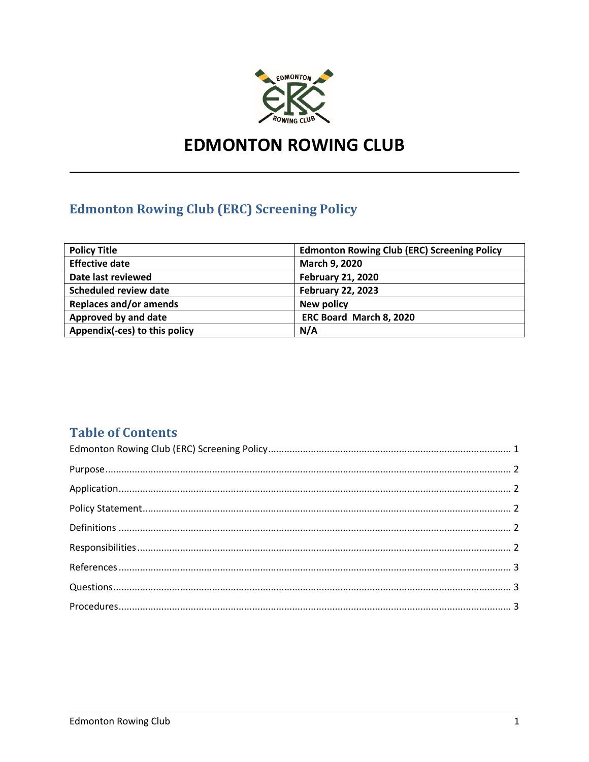

# **EDMONTON ROWING CLUB**

# **Edmonton Rowing Club (ERC) Screening Policy**

| <b>Policy Title</b>           | <b>Edmonton Rowing Club (ERC) Screening Policy</b> |  |
|-------------------------------|----------------------------------------------------|--|
| <b>Effective date</b>         | March 9, 2020                                      |  |
| Date last reviewed            | <b>February 21, 2020</b>                           |  |
| <b>Scheduled review date</b>  | <b>February 22, 2023</b>                           |  |
| <b>Replaces and/or amends</b> | New policy                                         |  |
| Approved by and date          | ERC Board March 8, 2020                            |  |
| Appendix(-ces) to this policy | N/A                                                |  |

## **Table of Contents**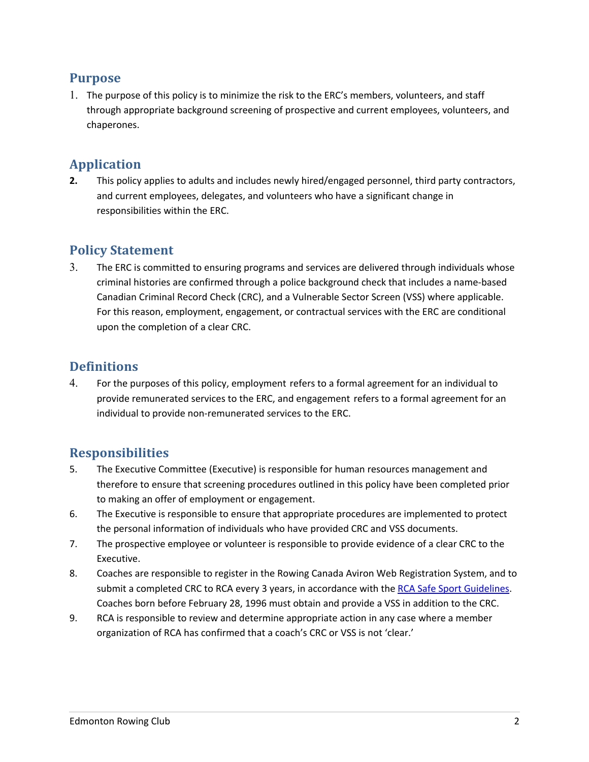## **Purpose**

1. The purpose of this policy is to minimize the risk to the ERC's members, volunteers, and staff through appropriate background screening of prospective and current employees, volunteers, and chaperones.

## **Application**

**2.** This policy applies to adults and includes newly hired/engaged personnel, third party contractors, and current employees, delegates, and volunteers who have a significant change in responsibilities within the ERC.

## **Policy Statement**

3. The ERC is committed to ensuring programs and services are delivered through individuals whose criminal histories are confirmed through a police background check that includes a name-based Canadian Criminal Record Check (CRC), and a Vulnerable Sector Screen (VSS) where applicable. For this reason, employment, engagement, or contractual services with the ERC are conditional upon the completion of a clear CRC.

## **Definitions**

4. For the purposes of this policy, employment refers to a formal agreement for an individual to provide remunerated services to the ERC, and engagement refers to a formal agreement for an individual to provide non-remunerated services to the ERC.

## **Responsibilities**

- 5. The Executive Committee (Executive) is responsible for human resources management and therefore to ensure that screening procedures outlined in this policy have been completed prior to making an offer of employment or engagement.
- 6. The Executive is responsible to ensure that appropriate procedures are implemented to protect the personal information of individuals who have provided CRC and VSS documents.
- 7. The prospective employee or volunteer is responsible to provide evidence of a clear CRC to the Executive.
- 8. Coaches are responsible to register in the Rowing Canada Aviron Web Registration System, and to submit a completed CRC to RCA every 3 years, in accordance with the RCA Safe Sport Guidelines. Coaches born before February 28, 1996 must obtain and provide a VSS in addition to the CRC.
- 9. RCA is responsible to review and determine appropriate action in any case where a member organization of RCA has confirmed that a coach's CRC or VSS is not 'clear.'